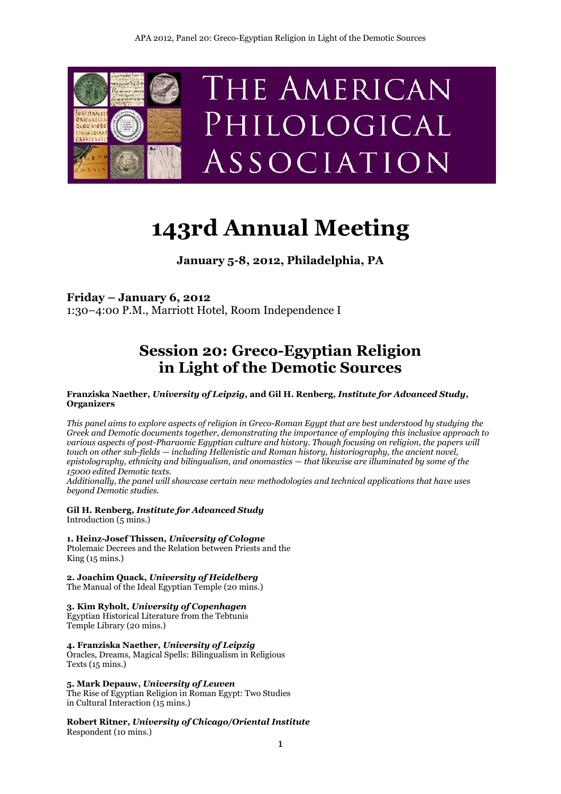

# **143rd Annual Meeting**

**January 5-8, 2012, Philadelphia, PA**

**Friday – January 6, 2012** 1:30–4:00 P.M., Marriott Hotel, Room Independence I

## **Session 20: Greco-Egyptian Religion in Light of the Demotic Sources**

#### **Franziska Naether,** *University of Leipzig***, and Gil H. Renberg,** *Institute for Advanced Study***, Organizers**

*This panel aims to explore aspects of religion in Greco-Roman Egypt that are best understood by studying the Greek and Demotic documents together, demonstrating the importance of employing this inclusive approach to various aspects of post-Pharaonic Egyptian culture and history. Though focusing on religion, the papers will touch on other sub-fields — including Hellenistic and Roman history, historiography, the ancient novel, epistolography, ethnicity and bilingualism, and onomastics — that likewise are illuminated by some of the 15000 edited Demotic texts.*

*Additionally, the panel will showcase certain new methodologies and technical applications that have uses beyond Demotic studies.*

**Gil H. Renberg,** *Institute for Advanced Study* Introduction (5 mins.)

**1. Heinz-Josef Thissen,** *University of Cologne* Ptolemaic Decrees and the Relation between Priests and the  $King(15 mins.)$ 

**2. Joachim Quack,** *University of Heidelberg* The Manual of the Ideal Egyptian Temple (20 mins.)

**3. Kim Ryholt,** *University of Copenhagen* Egyptian Historical Literature from the Tebtunis Temple Library (20 mins.)

**4. Franziska Naether,** *University of Leipzig* Oracles, Dreams, Magical Spells: Bilingualism in Religious Texts (15 mins.)

**5. Mark Depauw,** *University of Leuven* The Rise of Egyptian Religion in Roman Egypt: Two Studies in Cultural Interaction (15 mins.)

**Robert Ritner,** *University of Chicago/Oriental Institute* Respondent (10 mins.)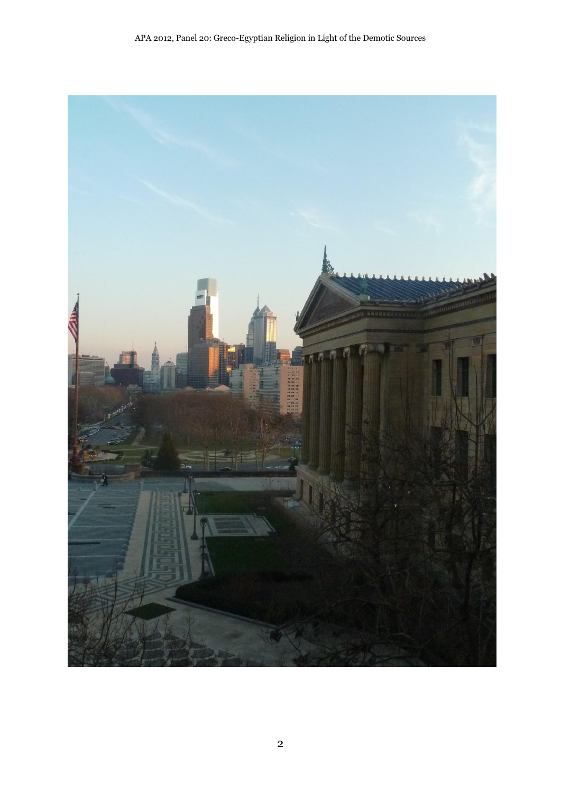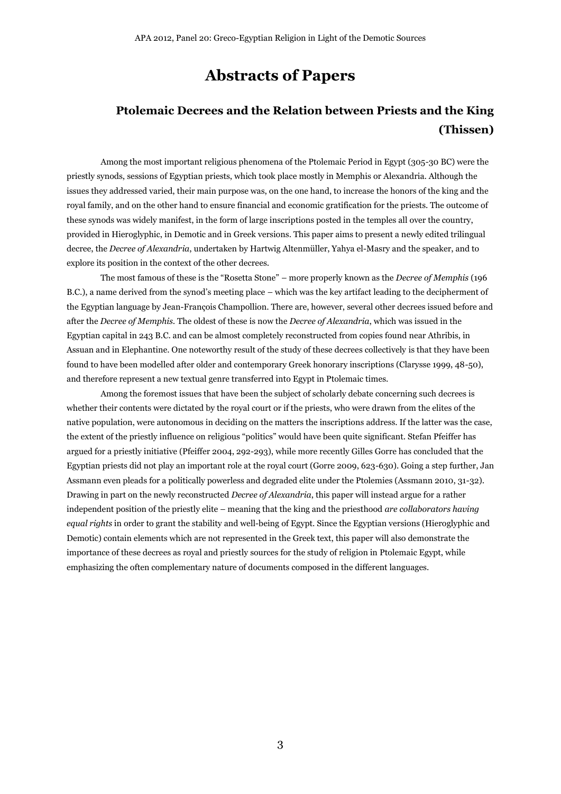## **Abstracts of Papers**

## **Ptolemaic Decrees and the Relation between Priests and the King (Thissen)**

Among the most important religious phenomena of the Ptolemaic Period in Egypt (305-30 BC) were the priestly synods, sessions of Egyptian priests, which took place mostly in Memphis or Alexandria. Although the issues they addressed varied, their main purpose was, on the one hand, to increase the honors of the king and the royal family, and on the other hand to ensure financial and economic gratification for the priests. The outcome of these synods was widely manifest, in the form of large inscriptions posted in the temples all over the country, provided in Hieroglyphic, in Demotic and in Greek versions. This paper aims to present a newly edited trilingual decree, the *Decree of Alexandria*, undertaken by Hartwig Altenmüller, Yahya el-Masry and the speaker, and to explore its position in the context of the other decrees.

The most famous of these is the "Rosetta Stone" – more properly known as the *Decree of Memphis* (196 B.C.), a name derived from the synod"s meeting place – which was the key artifact leading to the decipherment of the Egyptian language by Jean-François Champollion. There are, however, several other decrees issued before and after the *Decree of Memphis*. The oldest of these is now the *Decree of Alexandria*, which was issued in the Egyptian capital in 243 B.C. and can be almost completely reconstructed from copies found near Athribis, in Assuan and in Elephantine. One noteworthy result of the study of these decrees collectively is that they have been found to have been modelled after older and contemporary Greek honorary inscriptions (Clarysse 1999, 48-50), and therefore represent a new textual genre transferred into Egypt in Ptolemaic times.

Among the foremost issues that have been the subject of scholarly debate concerning such decrees is whether their contents were dictated by the royal court or if the priests, who were drawn from the elites of the native population, were autonomous in deciding on the matters the inscriptions address. If the latter was the case, the extent of the priestly influence on religious "politics" would have been quite significant. Stefan Pfeiffer has argued for a priestly initiative (Pfeiffer 2004, 292-293), while more recently Gilles Gorre has concluded that the Egyptian priests did not play an important role at the royal court (Gorre 2009, 623-630). Going a step further, Jan Assmann even pleads for a politically powerless and degraded elite under the Ptolemies (Assmann 2010, 31-32). Drawing in part on the newly reconstructed *Decree of Alexandria*, this paper will instead argue for a rather independent position of the priestly elite – meaning that the king and the priesthood *are collaborators having equal rights* in order to grant the stability and well-being of Egypt. Since the Egyptian versions (Hieroglyphic and Demotic) contain elements which are not represented in the Greek text, this paper will also demonstrate the importance of these decrees as royal and priestly sources for the study of religion in Ptolemaic Egypt, while emphasizing the often complementary nature of documents composed in the different languages.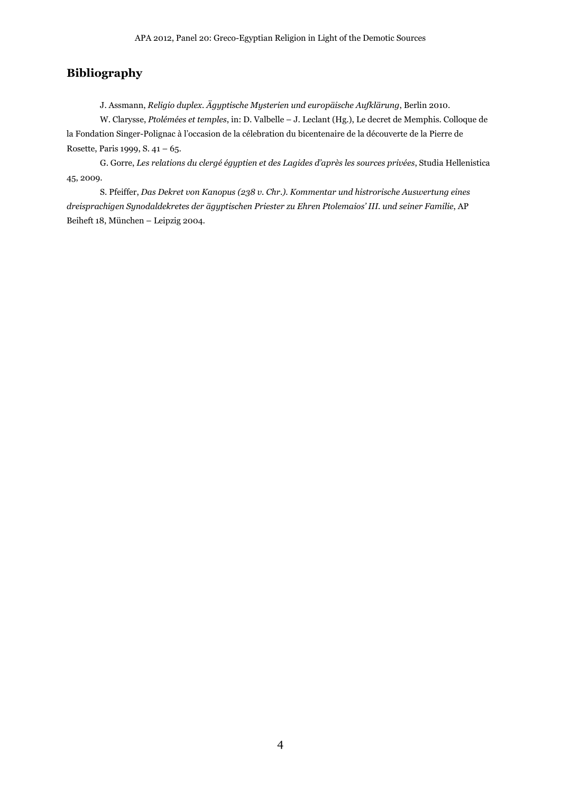J. Assmann, *Religio duplex. Ägyptische Mysterien und europäische Aufklärung*, Berlin 2010.

W. Clarysse, *Ptolémées et temples*, in: D. Valbelle – J. Leclant (Hg.), Le decret de Memphis. Colloque de la Fondation Singer-Polignac à l"occasion de la célebration du bicentenaire de la découverte de la Pierre de Rosette, Paris 1999, S. 41 – 65.

G. Gorre, *Les relations du clergé égyptien et des Lagides d'après les sources privées*, Studia Hellenistica 45, 2009.

S. Pfeiffer, *Das Dekret von Kanopus (238 v. Chr.). Kommentar und histrorische Auswertung eines dreisprachigen Synodaldekretes der ägyptischen Priester zu Ehren Ptolemaios' III. und seiner Familie*, AP Beiheft 18, München – Leipzig 2004.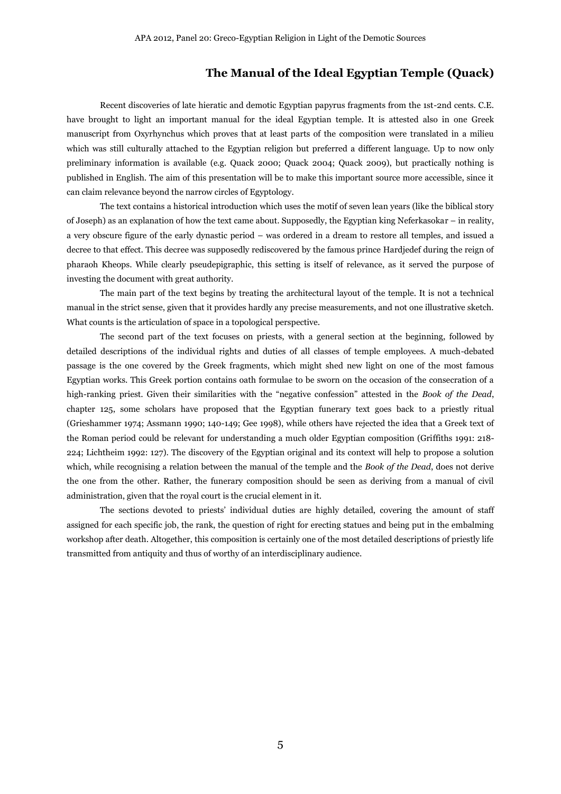#### **The Manual of the Ideal Egyptian Temple (Quack)**

Recent discoveries of late hieratic and demotic Egyptian papyrus fragments from the 1st-2nd cents. C.E. have brought to light an important manual for the ideal Egyptian temple. It is attested also in one Greek manuscript from Oxyrhynchus which proves that at least parts of the composition were translated in a milieu which was still culturally attached to the Egyptian religion but preferred a different language. Up to now only preliminary information is available (e.g. Quack 2000; Quack 2004; Quack 2009), but practically nothing is published in English. The aim of this presentation will be to make this important source more accessible, since it can claim relevance beyond the narrow circles of Egyptology.

The text contains a historical introduction which uses the motif of seven lean years (like the biblical story of Joseph) as an explanation of how the text came about. Supposedly, the Egyptian king Neferkasokar – in reality, a very obscure figure of the early dynastic period – was ordered in a dream to restore all temples, and issued a decree to that effect. This decree was supposedly rediscovered by the famous prince Hardjedef during the reign of pharaoh Kheops. While clearly pseudepigraphic, this setting is itself of relevance, as it served the purpose of investing the document with great authority.

The main part of the text begins by treating the architectural layout of the temple. It is not a technical manual in the strict sense, given that it provides hardly any precise measurements, and not one illustrative sketch. What counts is the articulation of space in a topological perspective.

The second part of the text focuses on priests, with a general section at the beginning, followed by detailed descriptions of the individual rights and duties of all classes of temple employees. A much-debated passage is the one covered by the Greek fragments, which might shed new light on one of the most famous Egyptian works. This Greek portion contains oath formulae to be sworn on the occasion of the consecration of a high-ranking priest. Given their similarities with the "negative confession" attested in the *Book of the Dead*, chapter 125, some scholars have proposed that the Egyptian funerary text goes back to a priestly ritual (Grieshammer 1974; Assmann 1990; 140-149; Gee 1998), while others have rejected the idea that a Greek text of the Roman period could be relevant for understanding a much older Egyptian composition (Griffiths 1991: 218- 224; Lichtheim 1992: 127). The discovery of the Egyptian original and its context will help to propose a solution which, while recognising a relation between the manual of the temple and the *Book of the Dead*, does not derive the one from the other. Rather, the funerary composition should be seen as deriving from a manual of civil administration, given that the royal court is the crucial element in it.

The sections devoted to priests" individual duties are highly detailed, covering the amount of staff assigned for each specific job, the rank, the question of right for erecting statues and being put in the embalming workshop after death. Altogether, this composition is certainly one of the most detailed descriptions of priestly life transmitted from antiquity and thus of worthy of an interdisciplinary audience.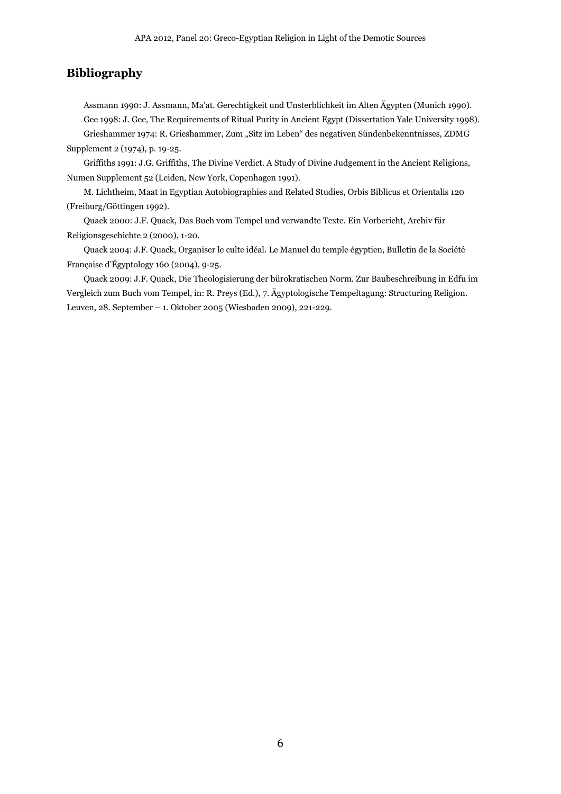Assmann 1990: J. Assmann, Ma"at. Gerechtigkeit und Unsterblichkeit im Alten Ägypten (Munich 1990). Gee 1998: J. Gee, The Requirements of Ritual Purity in Ancient Egypt (Dissertation Yale University 1998).

Grieshammer 1974: R. Grieshammer, Zum "Sitz im Leben" des negativen Sündenbekenntnisses, ZDMG Supplement 2 (1974), p. 19-25.

Griffiths 1991: J.G. Griffiths, The Divine Verdict. A Study of Divine Judgement in the Ancient Religions, Numen Supplement 52 (Leiden, New York, Copenhagen 1991).

M. Lichtheim, Maat in Egyptian Autobiographies and Related Studies, Orbis Biblicus et Orientalis 120 (Freiburg/Göttingen 1992).

Quack 2000: J.F. Quack, Das Buch vom Tempel und verwandte Texte. Ein Vorbericht, Archiv für Religionsgeschichte 2 (2000), 1-20.

Quack 2004: J.F. Quack, Organiser le culte idéal. Le Manuel du temple égyptien, Bulletin de la Société Française d"Égyptology 160 (2004), 9-25.

Quack 2009: J.F. Quack, Die Theologisierung der bürokratischen Norm. Zur Baubeschreibung in Edfu im Vergleich zum Buch vom Tempel, in: R. Preys (Ed.), 7. Ägyptologische Tempeltagung: Structuring Religion. Leuven, 28. September – 1. Oktober 2005 (Wiesbaden 2009), 221-229.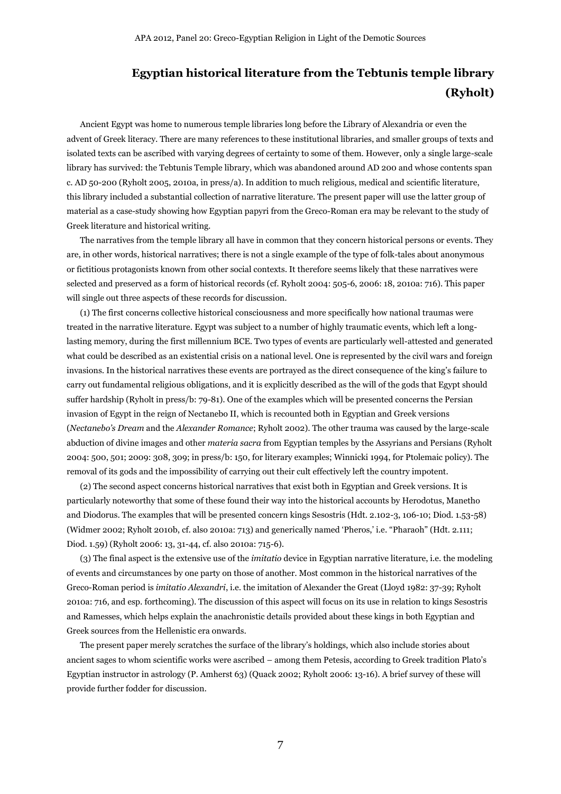## **Egyptian historical literature from the Tebtunis temple library (Ryholt)**

Ancient Egypt was home to numerous temple libraries long before the Library of Alexandria or even the advent of Greek literacy. There are many references to these institutional libraries, and smaller groups of texts and isolated texts can be ascribed with varying degrees of certainty to some of them. However, only a single large-scale library has survived: the Tebtunis Temple library, which was abandoned around AD 200 and whose contents span c. AD 50-200 (Ryholt 2005, 2010a, in press/a). In addition to much religious, medical and scientific literature, this library included a substantial collection of narrative literature. The present paper will use the latter group of material as a case-study showing how Egyptian papyri from the Greco-Roman era may be relevant to the study of Greek literature and historical writing.

The narratives from the temple library all have in common that they concern historical persons or events. They are, in other words, historical narratives; there is not a single example of the type of folk-tales about anonymous or fictitious protagonists known from other social contexts. It therefore seems likely that these narratives were selected and preserved as a form of historical records (cf. Ryholt 2004: 505-6, 2006: 18, 2010a: 716). This paper will single out three aspects of these records for discussion.

(1) The first concerns collective historical consciousness and more specifically how national traumas were treated in the narrative literature. Egypt was subject to a number of highly traumatic events, which left a longlasting memory, during the first millennium BCE. Two types of events are particularly well-attested and generated what could be described as an existential crisis on a national level. One is represented by the civil wars and foreign invasions. In the historical narratives these events are portrayed as the direct consequence of the king"s failure to carry out fundamental religious obligations, and it is explicitly described as the will of the gods that Egypt should suffer hardship (Ryholt in press/b: 79-81). One of the examples which will be presented concerns the Persian invasion of Egypt in the reign of Nectanebo II, which is recounted both in Egyptian and Greek versions (*Nectanebo's Dream* and the *Alexander Romance*; Ryholt 2002). The other trauma was caused by the large-scale abduction of divine images and other *materia sacra* from Egyptian temples by the Assyrians and Persians (Ryholt 2004: 500, 501; 2009: 308, 309; in press/b: 150, for literary examples; Winnicki 1994, for Ptolemaic policy). The removal of its gods and the impossibility of carrying out their cult effectively left the country impotent.

(2) The second aspect concerns historical narratives that exist both in Egyptian and Greek versions. It is particularly noteworthy that some of these found their way into the historical accounts by Herodotus, Manetho and Diodorus. The examples that will be presented concern kings Sesostris (Hdt. 2.102-3, 106-10; Diod. 1.53-58) (Widmer 2002; Ryholt 2010b, cf. also 2010a: 713) and generically named "Pheros," i.e. "Pharaoh" (Hdt. 2.111; Diod. 1.59) (Ryholt 2006: 13, 31-44, cf. also 2010a: 715-6).

(3) The final aspect is the extensive use of the *imitatio* device in Egyptian narrative literature, i.e. the modeling of events and circumstances by one party on those of another. Most common in the historical narratives of the Greco-Roman period is *imitatio Alexandri*, i.e. the imitation of Alexander the Great (Lloyd 1982: 37-39; Ryholt 2010a: 716, and esp. forthcoming). The discussion of this aspect will focus on its use in relation to kings Sesostris and Ramesses, which helps explain the anachronistic details provided about these kings in both Egyptian and Greek sources from the Hellenistic era onwards.

The present paper merely scratches the surface of the library"s holdings, which also include stories about ancient sages to whom scientific works were ascribed – among them Petesis, according to Greek tradition Plato"s Egyptian instructor in astrology (P. Amherst 63) (Quack 2002; Ryholt 2006: 13-16). A brief survey of these will provide further fodder for discussion.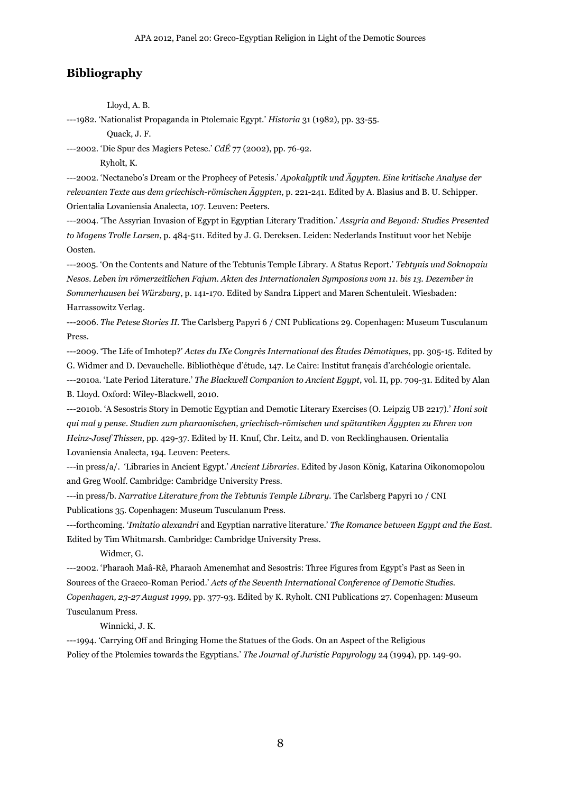Lloyd, A. B.

---1982. "Nationalist Propaganda in Ptolemaic Egypt." *Historia* 31 (1982), pp. 33-55.

Quack, J. F.

---2002. "Die Spur des Magiers Petese." *CdÉ* 77 (2002), pp. 76-92.

Ryholt, K.

---2002. "Nectanebo"s Dream or the Prophecy of Petesis." *Apokalyptik und Ägypten. Eine kritische Analyse der relevanten Texte aus dem griechisch-römischen Ägypten*, p. 221-241. Edited by A. Blasius and B. U. Schipper. Orientalia Lovaniensia Analecta, 107. Leuven: Peeters.

---2004. "The Assyrian Invasion of Egypt in Egyptian Literary Tradition." *Assyria and Beyond: Studies Presented to Mogens Trolle Larsen*, p. 484-511. Edited by J. G. Dercksen. Leiden: Nederlands Instituut voor het Nebije Oosten.

---2005. "On the Contents and Nature of the Tebtunis Temple Library. A Status Report." *Tebtynis und Soknopaiu Nesos. Leben im römerzeitlichen Fajum. Akten des Internationalen Symposions vom 11. bis 13. Dezember in Sommerhausen bei Würzburg*, p. 141-170. Edited by Sandra Lippert and Maren Schentuleit. Wiesbaden: Harrassowitz Verlag.

---2006. *The Petese Stories II.* The Carlsberg Papyri 6 / CNI Publications 29. Copenhagen: Museum Tusculanum Press.

---2009. "The Life of Imhotep?" *Actes du IXe Congrès International des Études Démotiques*, pp. 305-15. Edited by G. Widmer and D. Devauchelle. Bibliothèque d"étude, 147. Le Caire: Institut français d"archéologie orientale.

---2010a. "Late Period Literature." *The Blackwell Companion to Ancient Egypt*, vol. II, pp. 709-31. Edited by Alan B. Lloyd. Oxford: Wiley-Blackwell, 2010.

---2010b. "A Sesostris Story in Demotic Egyptian and Demotic Literary Exercises (O. Leipzig UB 2217)." *Honi soit qui mal y pense. Studien zum pharaonischen, griechisch-römischen und spätantiken Ägypten zu Ehren von Heinz-Josef Thissen*, pp. 429-37. Edited by H. Knuf, Chr. Leitz, and D. von Recklinghausen. Orientalia Lovaniensia Analecta, 194. Leuven: Peeters.

---in press/a/. "Libraries in Ancient Egypt." *Ancient Libraries*. Edited by Jason König, Katarina Oikonomopolou and Greg Woolf. Cambridge: Cambridge University Press.

---in press/b. *Narrative Literature from the Tebtunis Temple Library.* The Carlsberg Papyri 10 / CNI Publications 35. Copenhagen: Museum Tusculanum Press.

---forthcoming. "*Imitatio alexandri* and Egyptian narrative literature." *The Romance between Egypt and the East.* Edited by Tim Whitmarsh. Cambridge: Cambridge University Press.

Widmer, G.

---2002. "Pharaoh Maâ-Rê, Pharaoh Amenemhat and Sesostris: Three Figures from Egypt"s Past as Seen in Sources of the Graeco-Roman Period." *Acts of the Seventh International Conference of Demotic Studies. Copenhagen, 23-27 August 1999*, pp. 377-93. Edited by K. Ryholt. CNI Publications 27. Copenhagen: Museum Tusculanum Press.

Winnicki, J. K.

---1994. "Carrying Off and Bringing Home the Statues of the Gods. On an Aspect of the Religious Policy of the Ptolemies towards the Egyptians." *The Journal of Juristic Papyrology* 24 (1994), pp. 149-90.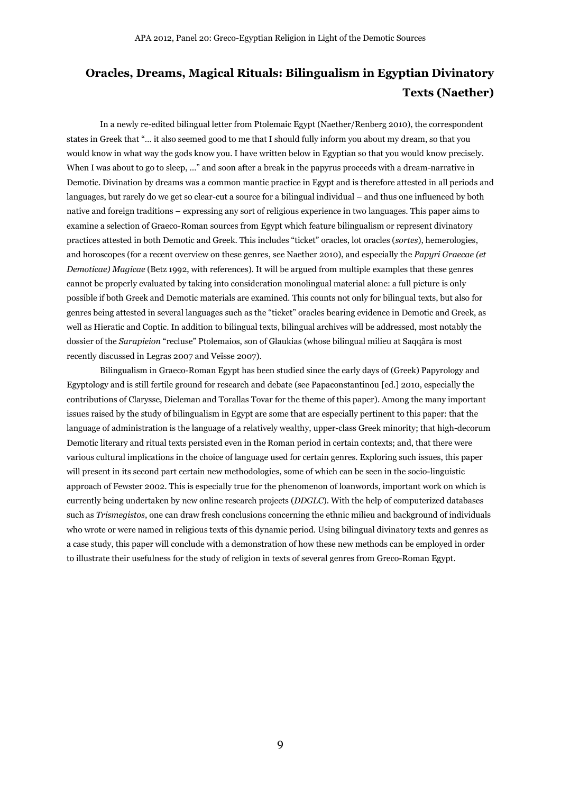## **Oracles, Dreams, Magical Rituals: Bilingualism in Egyptian Divinatory Texts (Naether)**

In a newly re-edited bilingual letter from Ptolemaic Egypt (Naether/Renberg 2010), the correspondent states in Greek that "… it also seemed good to me that I should fully inform you about my dream, so that you would know in what way the gods know you. I have written below in Egyptian so that you would know precisely. When I was about to go to sleep, ..." and soon after a break in the papyrus proceeds with a dream-narrative in Demotic. Divination by dreams was a common mantic practice in Egypt and is therefore attested in all periods and languages, but rarely do we get so clear-cut a source for a bilingual individual – and thus one influenced by both native and foreign traditions – expressing any sort of religious experience in two languages. This paper aims to examine a selection of Graeco-Roman sources from Egypt which feature bilingualism or represent divinatory practices attested in both Demotic and Greek. This includes "ticket" oracles, lot oracles (*sortes*), hemerologies, and horoscopes (for a recent overview on these genres, see Naether 2010), and especially the *Papyri Graecae (et Demoticae) Magicae* (Betz 1992, with references). It will be argued from multiple examples that these genres cannot be properly evaluated by taking into consideration monolingual material alone: a full picture is only possible if both Greek and Demotic materials are examined. This counts not only for bilingual texts, but also for genres being attested in several languages such as the "ticket" oracles bearing evidence in Demotic and Greek, as well as Hieratic and Coptic. In addition to bilingual texts, bilingual archives will be addressed, most notably the dossier of the *Sarapieion* "recluse" Ptolemaios, son of Glaukias (whose bilingual milieu at Saqqâra is most recently discussed in Legras 2007 and Veïsse 2007).

Bilingualism in Graeco-Roman Egypt has been studied since the early days of (Greek) Papyrology and Egyptology and is still fertile ground for research and debate (see Papaconstantinou [ed.] 2010, especially the contributions of Clarysse, Dieleman and Torallas Tovar for the theme of this paper). Among the many important issues raised by the study of bilingualism in Egypt are some that are especially pertinent to this paper: that the language of administration is the language of a relatively wealthy, upper-class Greek minority; that high-decorum Demotic literary and ritual texts persisted even in the Roman period in certain contexts; and, that there were various cultural implications in the choice of language used for certain genres. Exploring such issues, this paper will present in its second part certain new methodologies, some of which can be seen in the socio-linguistic approach of Fewster 2002. This is especially true for the phenomenon of loanwords, important work on which is currently being undertaken by new online research projects (*DDGLC*). With the help of computerized databases such as *Trismegistos*, one can draw fresh conclusions concerning the ethnic milieu and background of individuals who wrote or were named in religious texts of this dynamic period. Using bilingual divinatory texts and genres as a case study, this paper will conclude with a demonstration of how these new methods can be employed in order to illustrate their usefulness for the study of religion in texts of several genres from Greco-Roman Egypt.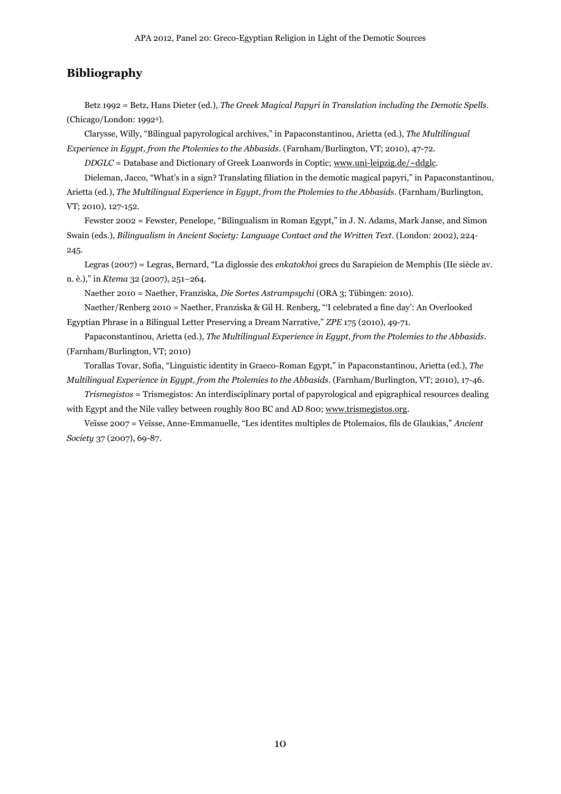Betz 1992 = Betz, Hans Dieter (ed.), *The Greek Magical Papyri in Translation including the Demotic Spells*. (Chicago/London: 1992<sup>2</sup>).

Clarysse, Willy, "Bilingual papyrological archives," in Papaconstantinou, Arietta (ed.), *The Multilingual Experience in Egypt, from the Ptolemies to the Abbasids*. (Farnham/Burlington, VT; 2010), 47-72.

*DDGLC* = Database and Dictionary of Greek Loanwords in Coptic; www.uni-leipzig.de/~ddglc.

Dieleman, Jacco, "What's in a sign? Translating filiation in the demotic magical papyri," in Papaconstantinou, Arietta (ed.), *The Multilingual Experience in Egypt, from the Ptolemies to the Abbasids*. (Farnham/Burlington, VT; 2010), 127-152.

Fewster 2002 = Fewster, Penelope, "Bilingualism in Roman Egypt," in J. N. Adams, Mark Janse, and Simon Swain (eds.), *Bilingualism in Ancient Society: Language Contact and the Written Text*. (London: 2002), 224- 245.

Legras (2007) = Legras, Bernard, "La diglossie des *enkatokhoi* grecs du Sarapieion de Memphis (IIe siècle av. n. è.)," in *Ktema* 32 (2007), 251–264.

Naether 2010 = Naether, Franziska, *Die Sortes Astrampsychi* (ORA 3; Tübingen: 2010).

Naether/Renberg 2010 = Naether, Franziska & Gil H. Renberg, ""I celebrated a fine day": An Overlooked Egyptian Phrase in a Bilingual Letter Preserving a Dream Narrative," *ZPE* 175 (2010), 49-71.

Papaconstantinou, Arietta (ed.), *The Multilingual Experience in Egypt, from the Ptolemies to the Abbasids*. (Farnham/Burlington, VT; 2010)

Torallas Tovar, Sofía, "Linguistic identity in Graeco-Roman Egypt," in Papaconstantinou, Arietta (ed.), *The Multilingual Experience in Egypt, from the Ptolemies to the Abbasids*. (Farnham/Burlington, VT; 2010), 17-46.

*Trismegistos* = Trismegistos: An interdisciplinary portal of papyrological and epigraphical resources dealing with Egypt and the Nile valley between roughly 800 BC and AD 800; www.trismegistos.org.

Veïsse 2007 = Veïsse, Anne-Emmanuelle, "Les identites multiples de Ptolemaios, fils de Glaukias," *Ancient Society* 37 (2007), 69-87.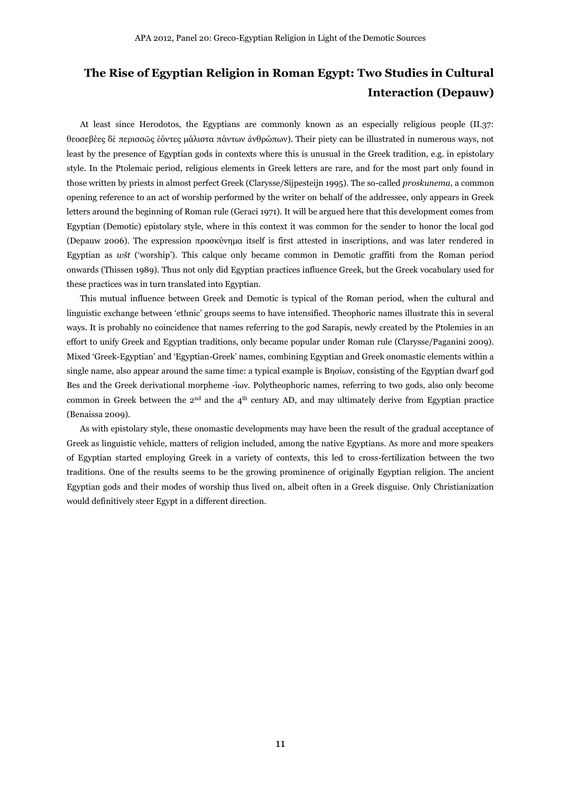## **The Rise of Egyptian Religion in Roman Egypt: Two Studies in Cultural Interaction (Depauw)**

At least since Herodotos, the Egyptians are commonly known as an especially religious people (II.37: θεοσεβέες δε περισσῶς ἐόντες μάλιστα πάντων ἀνθρώπων). Their piety can be illustrated in numerous ways, not least by the presence of Egyptian gods in contexts where this is unusual in the Greek tradition, e.g. in epistolary style. In the Ptolemaic period, religious elements in Greek letters are rare, and for the most part only found in those written by priests in almost perfect Greek (Clarysse/Sijpesteijn 1995). The so-called *proskunema*, a common opening reference to an act of worship performed by the writer on behalf of the addressee, only appears in Greek letters around the beginning of Roman rule (Geraci 1971). It will be argued here that this development comes from Egyptian (Demotic) epistolary style, where in this context it was common for the sender to honor the local god (Depauw 2006). The expression προζκύνημα itself is first attested in inscriptions, and was later rendered in Egyptian as *wšt* ("worship"). This calque only became common in Demotic graffiti from the Roman period onwards (Thissen 1989). Thus not only did Egyptian practices influence Greek, but the Greek vocabulary used for these practices was in turn translated into Egyptian.

This mutual influence between Greek and Demotic is typical of the Roman period, when the cultural and linguistic exchange between "ethnic" groups seems to have intensified. Theophoric names illustrate this in several ways. It is probably no coincidence that names referring to the god Sarapis, newly created by the Ptolemies in an effort to unify Greek and Egyptian traditions, only became popular under Roman rule (Clarysse/Paganini 2009). Mixed "Greek-Egyptian" and "Egyptian-Greek" names, combining Egyptian and Greek onomastic elements within a single name, also appear around the same time: a typical example is Βησίων, consisting of the Egyptian dwarf god Bes and the Greek derivational morpheme -ίων. Polytheophoric names, referring to two gods, also only become common in Greek between the  $2<sup>nd</sup>$  and the  $4<sup>th</sup>$  century AD, and may ultimately derive from Egyptian practice (Benaissa 2009).

As with epistolary style, these onomastic developments may have been the result of the gradual acceptance of Greek as linguistic vehicle, matters of religion included, among the native Egyptians. As more and more speakers of Egyptian started employing Greek in a variety of contexts, this led to cross-fertilization between the two traditions. One of the results seems to be the growing prominence of originally Egyptian religion. The ancient Egyptian gods and their modes of worship thus lived on, albeit often in a Greek disguise. Only Christianization would definitively steer Egypt in a different direction.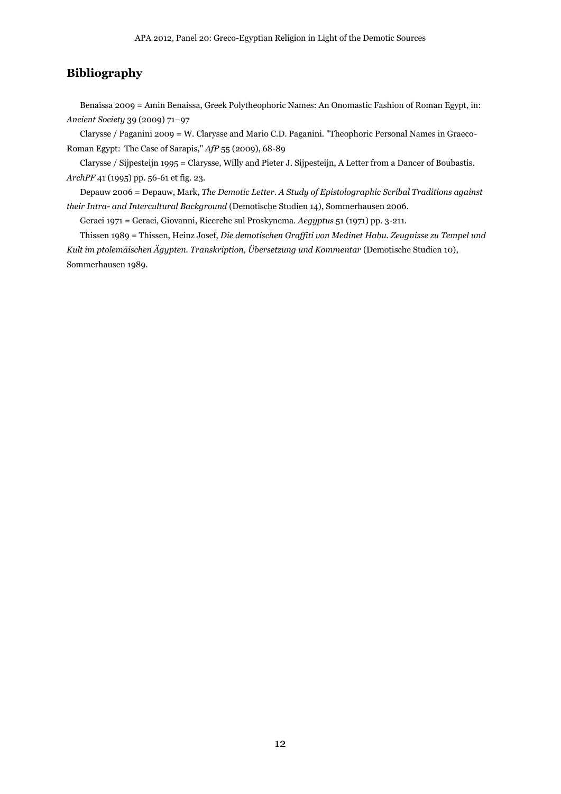Benaissa 2009 = Amin Benaissa, Greek Polytheophoric Names: An Onomastic Fashion of Roman Egypt, in: *Ancient Society* 39 (2009) 71–97

Clarysse / Paganini 2009 = W. Clarysse and Mario C.D. Paganini. "Theophoric Personal Names in Graeco-Roman Egypt: The Case of Sarapis," *AfP* 55 (2009), 68-89

Clarysse / Sijpesteijn 1995 = Clarysse, Willy and Pieter J. Sijpesteijn, A Letter from a Dancer of Boubastis. *ArchPF* 41 (1995) pp. 56-61 et fig. 23.

Depauw 2006 = Depauw, Mark, *The Demotic Letter. A Study of Epistolographic Scribal Traditions against their Intra- and Intercultural Background* (Demotische Studien 14), Sommerhausen 2006.

Geraci 1971 = Geraci, Giovanni, Ricerche sul Proskynema. *Aegyptus* 51 (1971) pp. 3-211.

Thissen 1989 = Thissen, Heinz Josef, *Die demotischen Graffiti von Medinet Habu. Zeugnisse zu Tempel und Kult im ptolemäischen Ägypten. Transkription, Übersetzung und Kommentar* (Demotische Studien 10), Sommerhausen 1989.